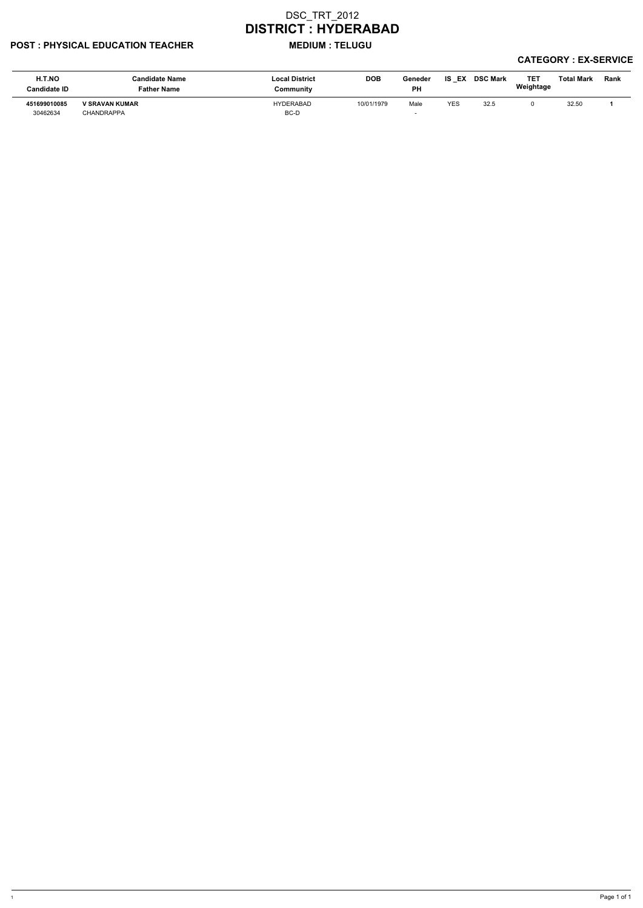## POST : PHYSICAL EDUCATION TEACHER MEDIUM : TELUGU

| H.T.NO<br><b>Candidate ID</b> | Candidate Name<br>Father Name | <b>Local District</b><br>Community | <b>DOB</b> | Geneder<br><b>PH</b>     | IS<br>EX | <b>DSC Mark</b> | TET<br>Weightage | <b>Total Mark</b> | Rank |
|-------------------------------|-------------------------------|------------------------------------|------------|--------------------------|----------|-----------------|------------------|-------------------|------|
| 451699010085                  | <b>V SRAVAN KUMAR</b>         | <b>HYDERABAD</b>                   | 10/01/1979 | Male                     | YES      | 32.5            |                  | 32.50             |      |
| 30462634                      | CHANDRAPPA                    | BC-D                               |            | $\overline{\phantom{0}}$ |          |                 |                  |                   |      |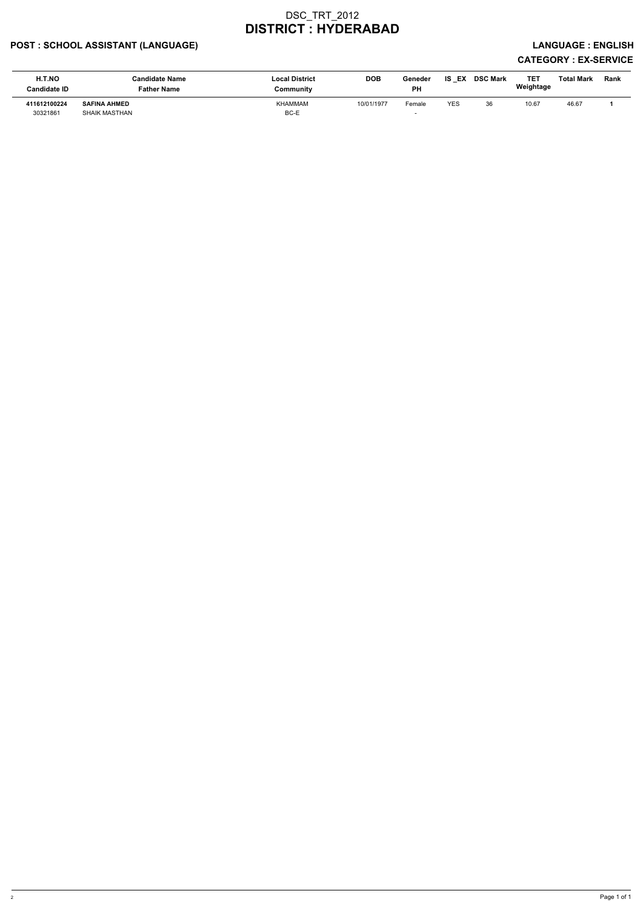## POST : SCHOOL ASSISTANT (LANGUAGE) And the state of the state of the state of the state of the state of the state of the state of the state of the state of the state of the state of the state of the state of the state of t

| H.T.NO<br>Candidate ID | Candidate Name<br>Father Name | <b>Local District</b><br>Community | <b>DOB</b> | Geneder<br><b>PH</b> | <b>IS EX</b> | <b>DSC Mark</b> | TET<br>Weightage | <b>Total Mark</b> | <b>Rank</b> |
|------------------------|-------------------------------|------------------------------------|------------|----------------------|--------------|-----------------|------------------|-------------------|-------------|
| 411612100224           | <b>SAFINA AHMED</b>           | KHAMMAM                            | 10/01/1977 | Female               | <b>YES</b>   | 36              | 10.67            | 46.67             |             |
| 30321861               | <b>SHAIK MASTHAN</b>          | BC-E                               |            |                      |              |                 |                  |                   |             |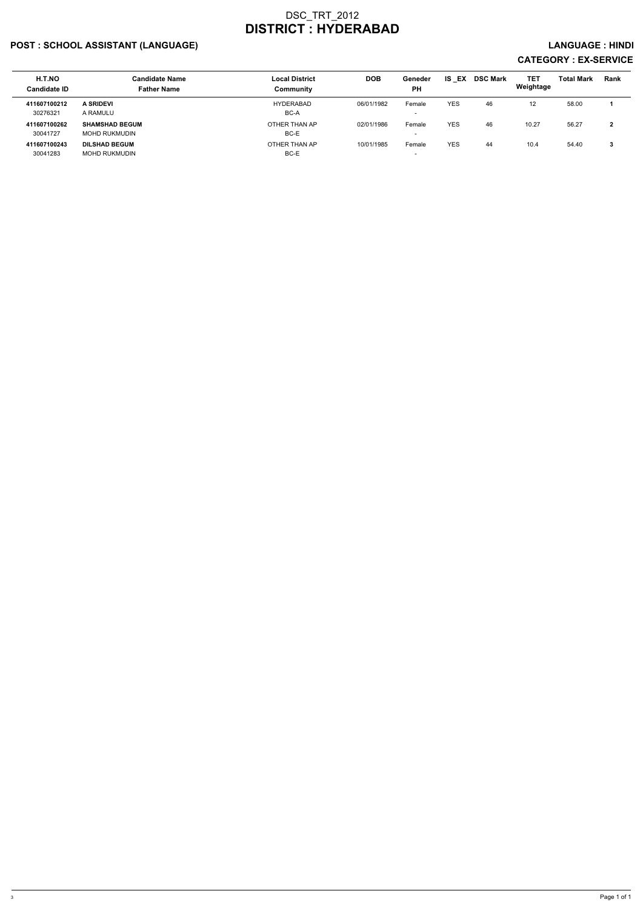## POST : SCHOOL ASSISTANT (LANGUAGE) And the set of the set of the set of the set of the set of the set of the set of the set of the set of the set of the set of the set of the set of the set of the set of the set of the set

| H.T.NO<br><b>Candidate ID</b> | <b>Candidate Name</b><br><b>Father Name</b> | <b>Local District</b><br>Community | <b>DOB</b> | Geneder<br><b>PH</b>     | EX<br>IS.  | <b>DSC Mark</b> | <b>TET</b><br>Weightage | <b>Total Mark</b> | <b>Rank</b> |
|-------------------------------|---------------------------------------------|------------------------------------|------------|--------------------------|------------|-----------------|-------------------------|-------------------|-------------|
| 411607100212                  | <b>A SRIDEVI</b>                            | <b>HYDERABAD</b>                   | 06/01/1982 | Female                   | <b>YES</b> | 46              | $12 \overline{ }$       | 58.00             |             |
| 30276321                      | A RAMULU                                    | BC-A                               |            | $\overline{\phantom{0}}$ |            |                 |                         |                   |             |
| 411607100262                  | <b>SHAMSHAD BEGUM</b>                       | OTHER THAN AP                      | 02/01/1986 | Female                   | <b>YES</b> | 46              | 10.27                   | 56.27             |             |
| 30041727                      | MOHD RUKMUDIN                               | BC-E                               |            | $\overline{\phantom{0}}$ |            |                 |                         |                   |             |
| 411607100243                  | <b>DILSHAD BEGUM</b>                        | OTHER THAN AP                      | 10/01/1985 | Female                   | <b>YES</b> | 44              | 10.4                    | 54.40             | 3           |
| 30041283                      | MOHD RUKMUDIN                               | BC-E                               |            | $\overline{\phantom{0}}$ |            |                 |                         |                   |             |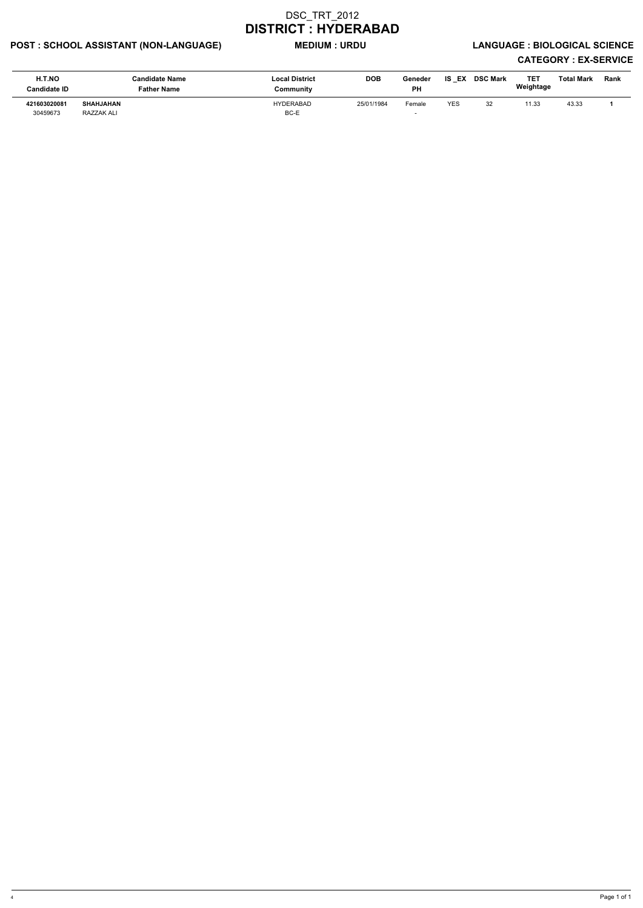# POST : SCHOOL ASSISTANT (NON-LANGUAGE) MEDIUM : URDU LANGUAGE : BIOLOGICAL SCIENCE

| <b>H.T.NO</b><br><b>Candidate ID</b> | <b>Candidate Name</b><br><b>Father Name</b> | <b>Local District</b><br>Community | <b>DOB</b> | Geneder<br><b>PH</b> | IS EX      | <b>DSC Mark</b> | TET<br>Weightage | <b>Total Mark</b> | <b>Rank</b> |
|--------------------------------------|---------------------------------------------|------------------------------------|------------|----------------------|------------|-----------------|------------------|-------------------|-------------|
| 421603020081<br>30459673             | SHAHJAHAN<br>RAZZAK ALI                     | <b>HYDERABAD</b><br>BC-E           | 25/01/1984 | Female               | <b>YES</b> | 32              | 11.33            | 43.33             |             |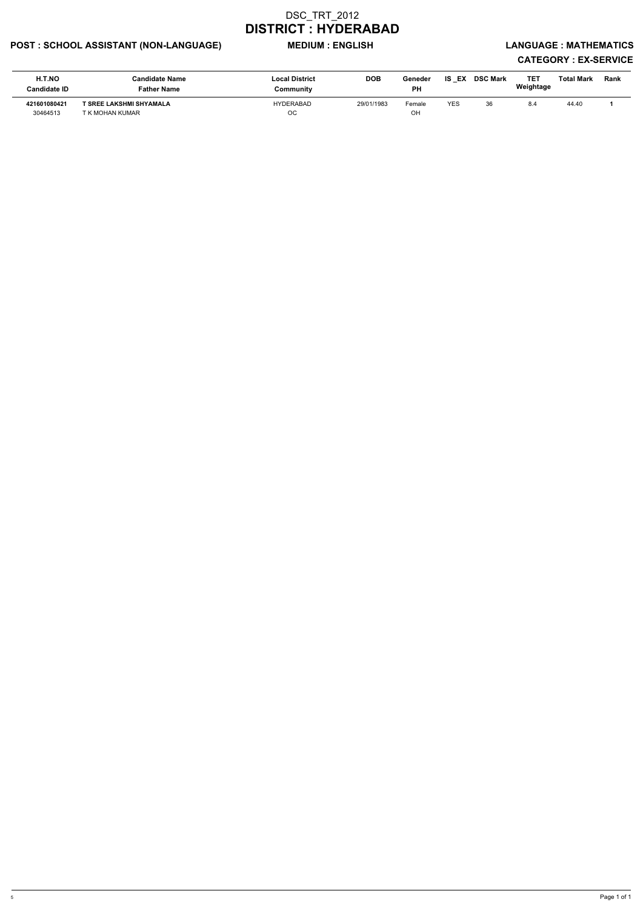## POST : SCHOOL ASSISTANT (NON-LANGUAGE) MEDIUM : ENGLISH LANGUAGE : MATHEMATICS

| H.T.NO<br><b>Candidate ID</b> | <b>Candidate Name</b><br><b>Father Name</b> | <b>Local District</b><br>Community | <b>DOB</b> | Geneder<br><b>PH</b> | <b>IS EX</b> | <b>DSC Mark</b> | TE1<br>Weightage | <b>Total Mark</b> | Rank |
|-------------------------------|---------------------------------------------|------------------------------------|------------|----------------------|--------------|-----------------|------------------|-------------------|------|
| 421601080421<br>30464513      | T SREE LAKSHMI SHYAMALA<br>T K MOHAN KUMAR  | HYDERABAD<br><b>OC</b>             | 29/01/1983 | Female<br>OH         | YES          | 36              | 8.4              | 44.40             |      |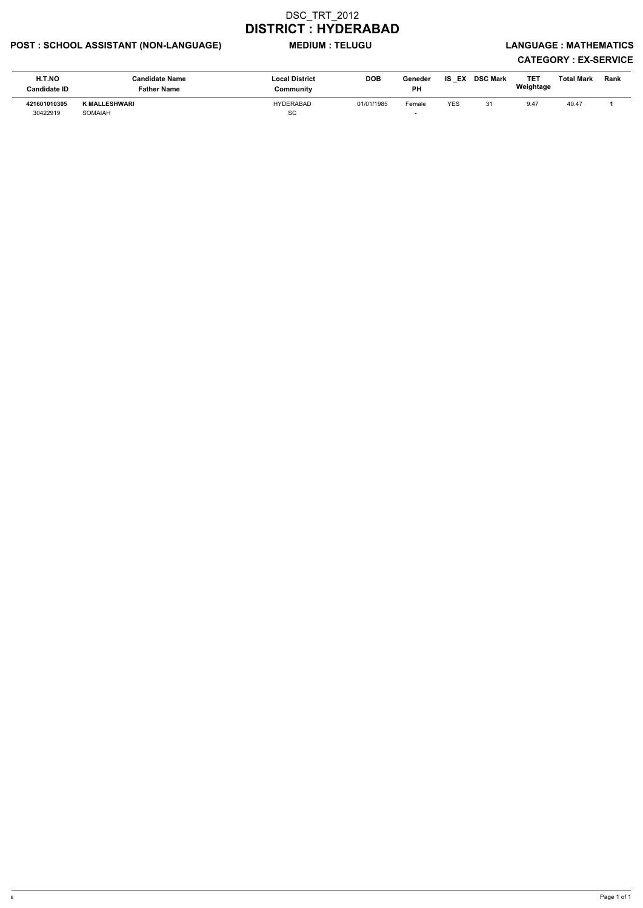## POST : SCHOOL ASSISTANT (NON-LANGUAGE) MEDIUM : TELUGU LANGUAGE : MATHEMATICS

| <b>H.T.NO</b><br><b>Candidate ID</b> | <b>Candidate Name</b><br><b>Father Name</b> | <b>Local District</b><br>Community | <b>DOB</b> | Geneder<br><b>PH</b> | IS<br>EX   | <b>DSC Mark</b> | <b>TET</b><br>Weightage | Total Mark | Rank |
|--------------------------------------|---------------------------------------------|------------------------------------|------------|----------------------|------------|-----------------|-------------------------|------------|------|
| 421601010305<br>30422919             | K MALLESHWARI<br>SOMAIAH                    | <b>HYDERABAD</b><br><b>SC</b>      | 01/01/1985 | Female               | <b>YES</b> |                 | 9.47                    | 40.47      |      |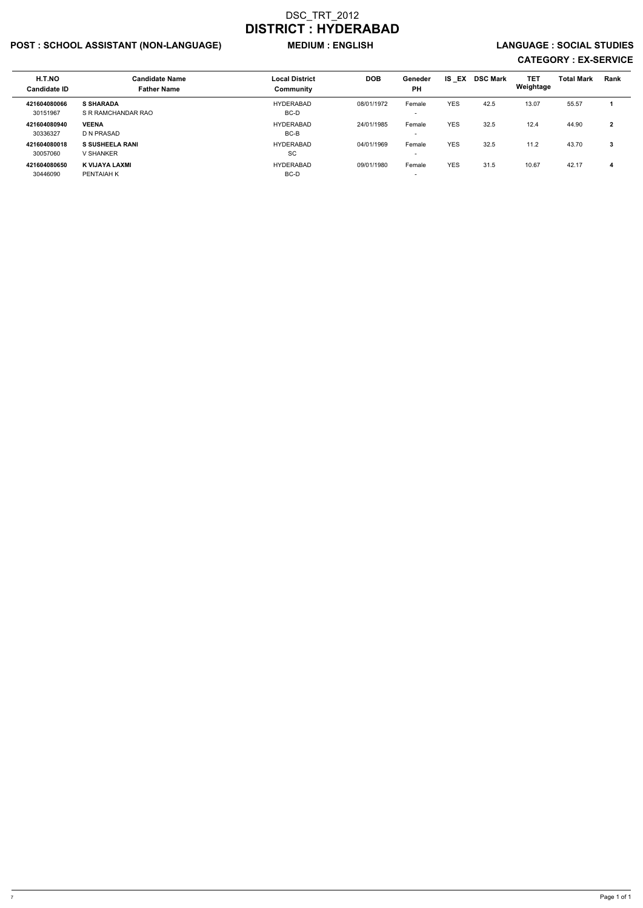## POST : SCHOOL ASSISTANT (NON-LANGUAGE) MEDIUM : ENGLISH LANGUAGE : SOCIAL STUDIES

| H.T.NO<br><b>Candidate ID</b> | <b>Candidate Name</b><br><b>Father Name</b> | <b>Local District</b><br>Community | <b>DOB</b> | Geneder<br><b>PH</b>               | IS EX      | <b>DSC Mark</b> | <b>TET</b><br>Weightage | <b>Total Mark</b> | Rank         |
|-------------------------------|---------------------------------------------|------------------------------------|------------|------------------------------------|------------|-----------------|-------------------------|-------------------|--------------|
| 421604080066<br>30151967      | <b>S SHARADA</b><br>S R RAMCHANDAR RAO      | HYDERABAD<br>BC-D                  | 08/01/1972 | Female<br>$\overline{\phantom{a}}$ | <b>YES</b> | 42.5            | 13.07                   | 55.57             |              |
| 421604080940<br>30336327      | <b>VEENA</b><br>D N PRASAD                  | HYDERABAD<br>BC-B                  | 24/01/1985 | Female<br>$\overline{\phantom{a}}$ | <b>YES</b> | 32.5            | 12.4                    | 44.90             | $\mathbf{2}$ |
| 421604080018<br>30057060      | <b>S SUSHEELA RANI</b><br>V SHANKER         | <b>HYDERABAD</b><br>SC             | 04/01/1969 | Female<br>$\overline{\phantom{a}}$ | <b>YES</b> | 32.5            | 11.2                    | 43.70             | 3            |
| 421604080650<br>30446090      | K VIJAYA LAXMI<br>PENTAIAH K                | HYDERABAD<br>BC-D                  | 09/01/1980 | Female<br>$\overline{\phantom{a}}$ | <b>YES</b> | 31.5            | 10.67                   | 42.17             | 4            |